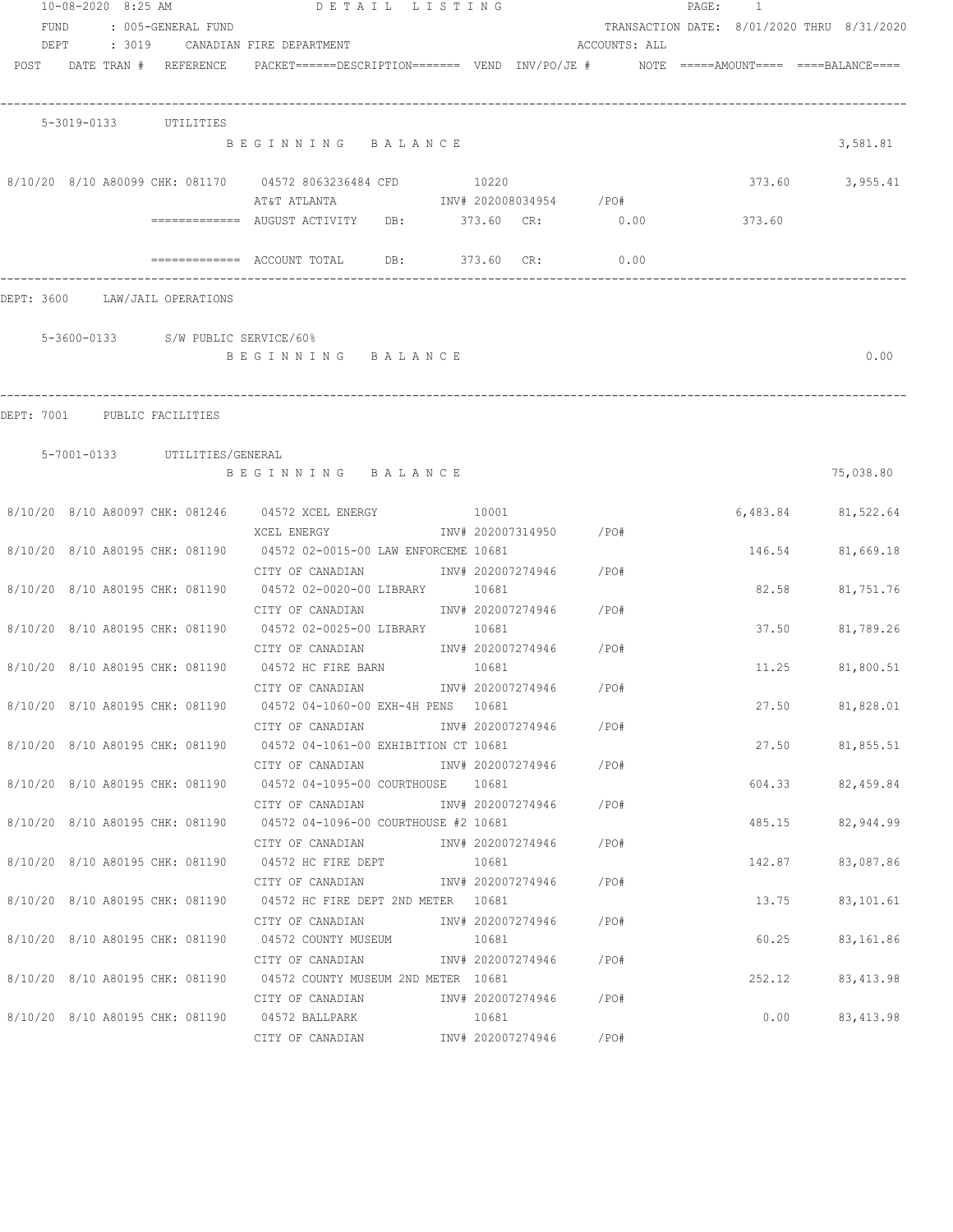| 10-08-2020 8:25 AM<br>FUND   |  | : 005-GENERAL FUND              | DETAIL LISTING                                                                                  |       |                         |               | PAGE: 1 |        | TRANSACTION DATE: 8/01/2020 THRU 8/31/2020 |
|------------------------------|--|---------------------------------|-------------------------------------------------------------------------------------------------|-------|-------------------------|---------------|---------|--------|--------------------------------------------|
| DEPT                         |  |                                 | : 3019     CANADIAN FIRE DEPARTMENT                                                             |       |                         | ACCOUNTS: ALL |         |        |                                            |
|                              |  | POST DATE TRAN # REFERENCE      | $PACKET == == = DESCRIPTION == == == $ VEND $INV/PO/JE$ # $NOTE$ =====AMOUNT==== ===BALANCE==== |       |                         |               |         |        |                                            |
|                              |  | 5-3019-0133 UTILITIES           |                                                                                                 |       |                         |               |         |        |                                            |
|                              |  |                                 | BEGINNING BALANCE                                                                               |       |                         |               |         |        | 3,581.81                                   |
|                              |  |                                 | 8/10/20 8/10 A80099 CHK: 081170 04572 8063236484 CFD<br>AT&T ATLANTA<br>INV# 202008034954 /PO#  | 10220 |                         |               |         | 373.60 | 3,955.41                                   |
|                              |  |                                 | ============= AUGUST ACTIVITY DB: 373.60 CR: 0.00                                               |       |                         |               |         | 373.60 |                                            |
|                              |  |                                 | ============= ACCOUNT TOTAL DB: 373.60 CR:                                                      |       |                         | 0.00          |         |        |                                            |
|                              |  | DEPT: 3600 LAW/JAIL OPERATIONS  |                                                                                                 |       |                         |               |         |        |                                            |
|                              |  |                                 | 5-3600-0133 S/W PUBLIC SERVICE/60%                                                              |       |                         |               |         |        |                                            |
|                              |  |                                 | BEGINNING BALANCE                                                                               |       |                         |               |         |        | 0.00                                       |
| DEPT: 7001 PUBLIC FACILITIES |  |                                 |                                                                                                 |       |                         |               |         |        |                                            |
|                              |  | 5-7001-0133 UTILITIES/GENERAL   |                                                                                                 |       |                         |               |         |        |                                            |
|                              |  |                                 | BEGINNING BALANCE                                                                               |       |                         |               |         |        | 75,038.80                                  |
|                              |  |                                 | 8/10/20 8/10 A80097 CHK: 081246 04572 XCEL ENERGY 10001                                         |       |                         |               |         |        | 6,483.84 81,522.64                         |
|                              |  |                                 | XCEL ENERGY<br>8/10/20 8/10 A80195 CHK: 081190 04572 02-0015-00 LAW ENFORCEME 10681             |       | INV# 202007314950 /PO#  |               |         |        | 146.54 81,669.18                           |
|                              |  |                                 | CITY OF CANADIAN<br>8/10/20 8/10 A80195 CHK: 081190 04572 02-0020-00 LIBRARY 10681              |       | INV# 202007274946 /PO#  |               |         | 82.58  | 81,751.76                                  |
|                              |  |                                 | CITY OF CANADIAN<br>8/10/20 8/10 A80195 CHK: 081190 04572 02-0025-00 LIBRARY 10681              |       | INV# 202007274946 / PO# |               |         | 37.50  | 81,789.26                                  |
|                              |  |                                 | CITY OF CANADIAN                                                                                |       | INV# 202007274946 /PO#  |               |         |        |                                            |
|                              |  |                                 | 8/10/20 8/10 A80195 CHK: 081190 04572 HC FIRE BARN<br>CITY OF CANADIAN                          | 10681 | INV# 202007274946       | /PO#          |         | 11.25  | 81,800.51                                  |
|                              |  |                                 | 8/10/20 8/10 A80195 CHK: 081190 04572 04-1060-00 EXH-4H PENS 10681<br>CITY OF CANADIAN          |       | INV# 202007274946 /PO#  |               |         |        | 27.50 81,828.01                            |
|                              |  |                                 | 8/10/20 8/10 A80195 CHK: 081190 04572 04-1061-00 EXHIBITION CT 10681                            |       |                         |               |         |        | 27.50 81,855.51                            |
|                              |  |                                 | CITY OF CANADIAN<br>8/10/20 8/10 A80195 CHK: 081190 04572 04-1095-00 COURTHOUSE 10681           |       | INV# 202007274946 /PO#  |               |         | 604.33 | 82,459.84                                  |
|                              |  |                                 | CITY OF CANADIAN<br>8/10/20 8/10 A80195 CHK: 081190 04572 04-1096-00 COURTHOUSE #2 10681        |       | INV# 202007274946 /PO#  |               |         | 485.15 | 82,944.99                                  |
|                              |  |                                 | CITY OF CANADIAN                                                                                |       | INV# 202007274946 /PO#  |               |         |        |                                            |
|                              |  |                                 | 8/10/20 8/10 A80195 CHK: 081190 04572 HC FIRE DEPT<br>CITY OF CANADIAN                          | 10681 | INV# 202007274946       | /PO#          |         | 142.87 | 83,087.86                                  |
|                              |  |                                 | 8/10/20 8/10 A80195 CHK: 081190 04572 HC FIRE DEPT 2ND METER 10681                              |       |                         |               |         | 13.75  | 83,101.61                                  |
|                              |  | 8/10/20 8/10 A80195 CHK: 081190 | CITY OF CANADIAN<br>04572 COUNTY MUSEUM                                                         | 10681 | INV# 202007274946       | /PO#          |         | 60.25  | 83,161.86                                  |
|                              |  |                                 | CITY OF CANADIAN<br>8/10/20 8/10 A80195 CHK: 081190 04572 COUNTY MUSEUM 2ND METER 10681         |       | INV# 202007274946       | /PO#          |         | 252.12 | 83, 413.98                                 |
|                              |  |                                 | CITY OF CANADIAN                                                                                |       | INV# 202007274946 /PO#  |               |         |        |                                            |
|                              |  |                                 | 8/10/20 8/10 A80195 CHK: 081190 04572 BALLPARK<br>CITY OF CANADIAN                              | 10681 | INV# 202007274946       | /PO#          |         | 0.00   | 83, 413.98                                 |
|                              |  |                                 |                                                                                                 |       |                         |               |         |        |                                            |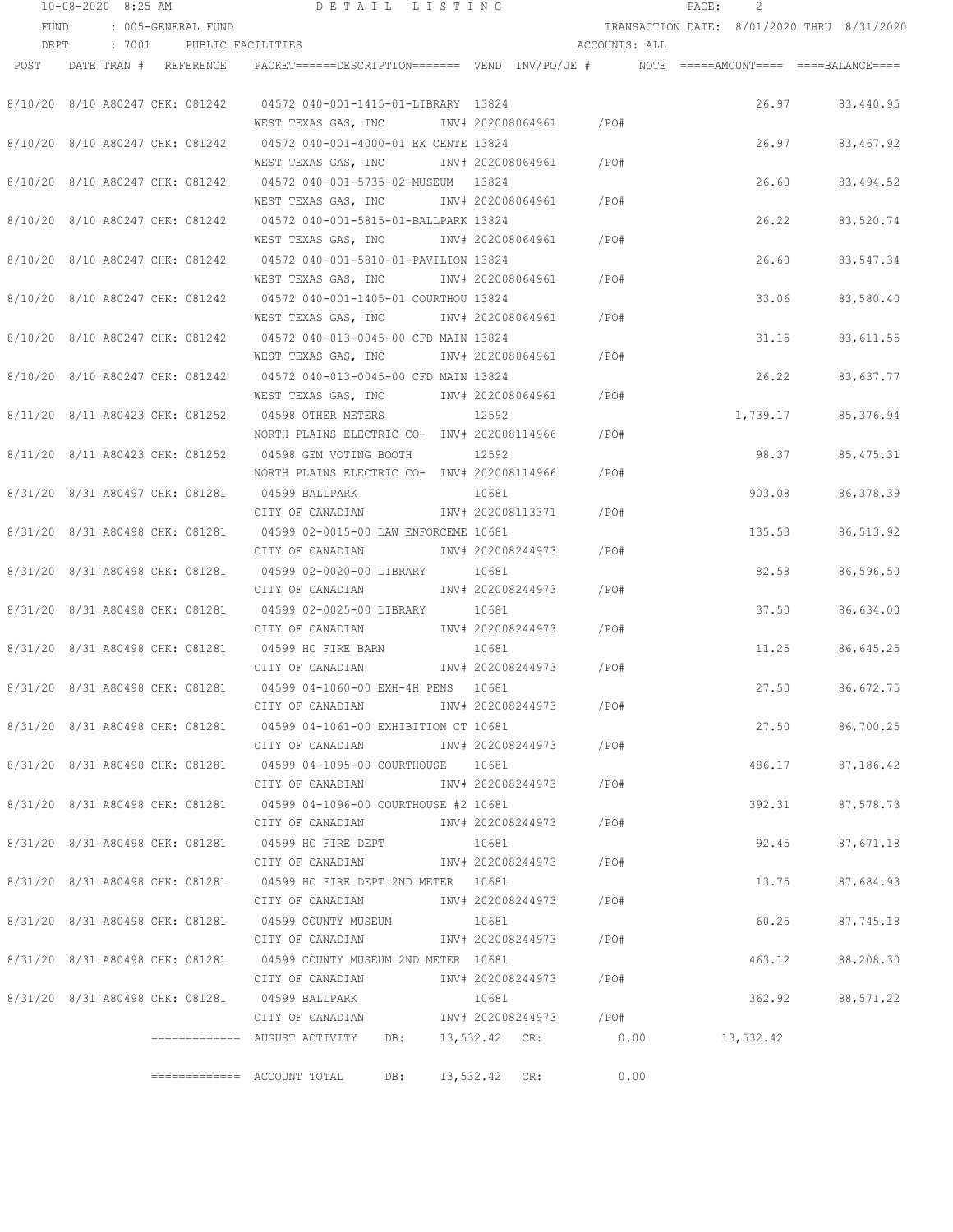|      | 10-08-2020 8:25 AM              |                                 | DETAIL LISTING                                                                                     |                        |               | $\mathtt{PAGE}$ :                          | 2         |            |
|------|---------------------------------|---------------------------------|----------------------------------------------------------------------------------------------------|------------------------|---------------|--------------------------------------------|-----------|------------|
| FUND |                                 | : 005-GENERAL FUND              |                                                                                                    |                        |               | TRANSACTION DATE: 8/01/2020 THRU 8/31/2020 |           |            |
| DEPT |                                 | : 7001 PUBLIC FACILITIES        |                                                                                                    |                        | ACCOUNTS: ALL |                                            |           |            |
|      | POST DATE TRAN # REFERENCE      |                                 | PACKET======DESCRIPTION========  VEND  INV/PO/JE #          NOTE  =====AMOUNT====  ====BALANCE==== |                        |               |                                            |           |            |
|      |                                 |                                 |                                                                                                    |                        |               |                                            |           |            |
|      | 8/10/20 8/10 A80247 CHK: 081242 |                                 | 04572 040-001-1415-01-LIBRARY 13824                                                                |                        |               |                                            | 26.97     | 83,440.95  |
|      |                                 |                                 | WEST TEXAS GAS, INC                                                                                | INV# 202008064961 /PO# |               |                                            |           |            |
|      | 8/10/20 8/10 A80247 CHK: 081242 |                                 | 04572 040-001-4000-01 EX CENTE 13824                                                               |                        |               |                                            | 26.97     | 83,467.92  |
|      |                                 |                                 | WEST TEXAS GAS, INC                                                                                | INV# 202008064961      | $/$ PO#       |                                            |           |            |
|      | 8/10/20 8/10 A80247 CHK: 081242 |                                 | 04572 040-001-5735-02-MUSEUM 13824                                                                 |                        |               |                                            | 26.60     | 83,494.52  |
|      |                                 |                                 | WEST TEXAS GAS, INC                                                                                | INV# 202008064961      | $/$ PO#       |                                            |           |            |
|      | 8/10/20 8/10 A80247 CHK: 081242 |                                 | 04572 040-001-5815-01-BALLPARK 13824                                                               |                        |               |                                            | 26.22     | 83,520.74  |
|      |                                 |                                 | WEST TEXAS GAS, INC                                                                                | INV# 202008064961      | /PO#          |                                            |           |            |
|      | 8/10/20 8/10 A80247 CHK: 081242 |                                 | 04572 040-001-5810-01-PAVILION 13824                                                               |                        |               |                                            | 26.60     | 83,547.34  |
|      |                                 |                                 | WEST TEXAS GAS, INC MONTH 202008064961                                                             |                        | /PO#          |                                            |           |            |
|      | 8/10/20 8/10 A80247 CHK: 081242 |                                 | 04572 040-001-1405-01 COURTHOU 13824                                                               |                        |               |                                            | 33.06     | 83,580.40  |
|      |                                 |                                 | WEST TEXAS GAS, INC MONTH 202008064961                                                             |                        | /PO#          |                                            |           |            |
|      | 8/10/20 8/10 A80247 CHK: 081242 |                                 | 04572 040-013-0045-00 CFD MAIN 13824                                                               |                        |               |                                            | 31.15     | 83,611.55  |
|      |                                 |                                 | WEST TEXAS GAS, INC                                                                                | INV# 202008064961 /PO# |               |                                            |           |            |
|      |                                 |                                 | 8/10/20 8/10 A80247 CHK: 081242 04572 040-013-0045-00 CFD MAIN 13824                               |                        |               |                                            | 26.22     | 83,637.77  |
|      |                                 |                                 | WEST TEXAS GAS, INC 1NV# 202008064961 / PO#                                                        |                        |               |                                            |           |            |
|      |                                 |                                 | 8/11/20 8/11 A80423 CHK: 081252 04598 OTHER METERS                                                 | 12592                  |               |                                            | 1,739.17  | 85,376.94  |
|      |                                 |                                 | NORTH PLAINS ELECTRIC CO- INV# 202008114966 / PO#                                                  |                        |               |                                            |           |            |
|      | 8/11/20 8/11 A80423 CHK: 081252 |                                 | 04598 GEM VOTING BOOTH                                                                             | 12592                  |               |                                            | 98.37     | 85, 475.31 |
|      |                                 |                                 | NORTH PLAINS ELECTRIC CO- INV# 202008114966                                                        |                        | /PO#          |                                            |           |            |
|      | 8/31/20 8/31 A80497 CHK: 081281 |                                 | 04599 BALLPARK                                                                                     | 10681                  |               |                                            | 903.08    | 86, 378.39 |
|      |                                 |                                 | CITY OF CANADIAN                                                                                   | INV# 202008113371      | /PO#          |                                            |           |            |
|      | 8/31/20 8/31 A80498 CHK: 081281 |                                 | 04599 02-0015-00 LAW ENFORCEME 10681                                                               |                        |               |                                            | 135.53    | 86,513.92  |
|      |                                 |                                 | CITY OF CANADIAN                                                                                   | INV# 202008244973      | /PO#          |                                            |           |            |
|      | 8/31/20 8/31 A80498 CHK: 081281 |                                 | 04599 02-0020-00 LIBRARY                                                                           | 10681                  |               |                                            | 82.58     | 86,596.50  |
|      |                                 |                                 | CITY OF CANADIAN                                                                                   | INV# 202008244973      | /PO#          |                                            |           |            |
|      | 8/31/20 8/31 A80498 CHK: 081281 |                                 | 04599 02-0025-00 LIBRARY                                                                           | 10681                  |               |                                            | 37.50     | 86,634.00  |
|      |                                 |                                 | CITY OF CANADIAN                                                                                   | INV# 202008244973      | /PO#          |                                            |           |            |
|      | 8/31/20 8/31 A80498 CHK: 081281 |                                 | 04599 HC FIRE BARN                                                                                 | 10681                  |               |                                            | 11.25     | 86,645.25  |
|      |                                 |                                 | CITY OF CANADIAN                                                                                   | INV# 202008244973      | /PO#          |                                            |           |            |
|      |                                 |                                 | 8/31/20 8/31 A80498 CHK: 081281 04599 04-1060-00 EXH-4H PENS 10681                                 |                        |               |                                            | 27.50     | 86,672.75  |
|      |                                 |                                 | CITY OF CANADIAN                                                                                   | INV# 202008244973      | /PO#          |                                            |           |            |
|      |                                 |                                 | 8/31/20 8/31 A80498 CHK: 081281 04599 04-1061-00 EXHIBITION CT 10681                               |                        |               |                                            | 27.50     | 86,700.25  |
|      |                                 |                                 | CITY OF CANADIAN                                                                                   | INV# 202008244973 /PO# |               |                                            |           |            |
|      |                                 |                                 | 8/31/20 8/31 A80498 CHK: 081281 04599 04-1095-00 COURTHOUSE 10681                                  |                        |               |                                            | 486.17    | 87,186.42  |
|      |                                 |                                 | CITY OF CANADIAN                                                                                   | INV# 202008244973      | /PO#          |                                            |           |            |
|      |                                 |                                 | 8/31/20 8/31 A80498 CHK: 081281 04599 04-1096-00 COURTHOUSE #2 10681                               |                        |               |                                            | 392.31    | 87,578.73  |
|      |                                 |                                 | CITY OF CANADIAN                                                                                   | INV# 202008244973      | /PO#          |                                            |           |            |
|      |                                 |                                 | 8/31/20 8/31 A80498 CHK: 081281 04599 HC FIRE DEPT                                                 | 10681                  |               |                                            | 92.45     | 87,671.18  |
|      |                                 |                                 | CITY OF CANADIAN                                                                                   | INV# 202008244973      | /PO#          |                                            |           |            |
|      |                                 |                                 | 8/31/20 8/31 A80498 CHK: 081281 04599 HC FIRE DEPT 2ND METER 10681                                 |                        |               |                                            | 13.75     | 87,684.93  |
|      |                                 |                                 | CITY OF CANADIAN                                                                                   | INV# 202008244973      | /PO#          |                                            |           |            |
|      |                                 | 8/31/20 8/31 A80498 CHK: 081281 | 04599 COUNTY MUSEUM                                                                                | 10681                  |               |                                            | 60.25     | 87,745.18  |
|      |                                 |                                 | CITY OF CANADIAN                                                                                   | INV# 202008244973      | / PO#         |                                            |           |            |
|      |                                 |                                 | 8/31/20 8/31 A80498 CHK: 081281 04599 COUNTY MUSEUM 2ND METER 10681                                |                        |               |                                            | 463.12    | 88,208.30  |
|      |                                 |                                 | CITY OF CANADIAN                                                                                   | INV# 202008244973      | /PO#          |                                            |           |            |
|      |                                 |                                 | 8/31/20 8/31 A80498 CHK: 081281 04599 BALLPARK                                                     | 10681                  |               |                                            | 362.92    | 88,571.22  |
|      |                                 |                                 | CITY OF CANADIAN                                                                                   | INV# 202008244973      | /PO#          |                                            |           |            |
|      |                                 |                                 | ============= AUGUST ACTIVITY<br>DB:                                                               | 13,532.42 CR: 0.00     |               |                                            | 13,532.42 |            |
|      |                                 |                                 |                                                                                                    |                        |               | 0.00                                       |           |            |
|      |                                 |                                 | $\equiv$ ============ ACCOUNT TOTAL<br>DB:                                                         | 13,532.42 CR:          |               |                                            |           |            |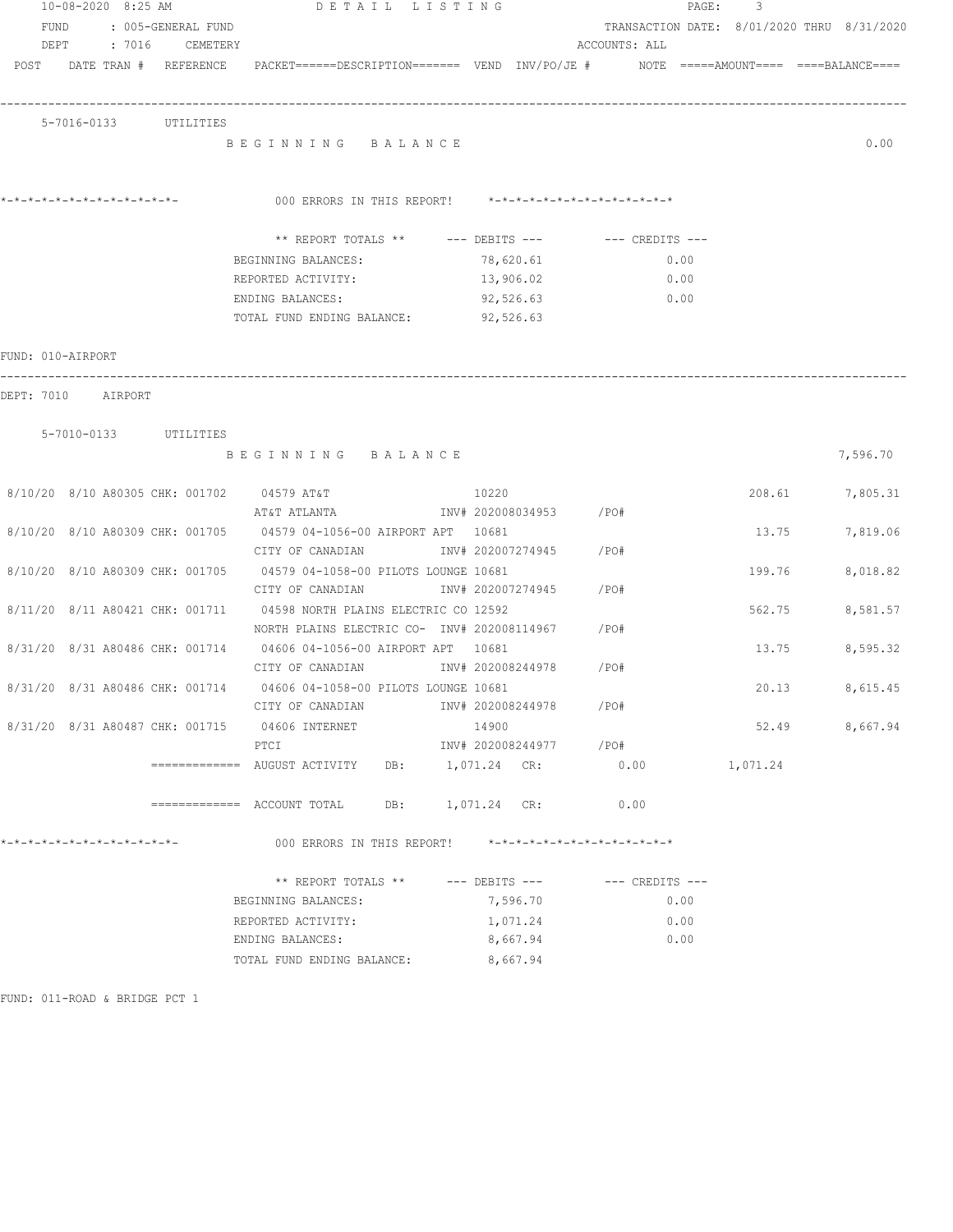|                   | 10-08-2020 8:25 AM              |                 |                                                                                                                 | DETAIL LISTING   |                         |                                            | 3<br>PAGE: |          |
|-------------------|---------------------------------|-----------------|-----------------------------------------------------------------------------------------------------------------|------------------|-------------------------|--------------------------------------------|------------|----------|
|                   | FUND : 005-GENERAL FUND         |                 |                                                                                                                 |                  |                         | TRANSACTION DATE: 8/01/2020 THRU 8/31/2020 |            |          |
| DEPT              |                                 | : 7016 CEMETERY |                                                                                                                 |                  |                         | ACCOUNTS: ALL                              |            |          |
|                   |                                 |                 | POST DATE TRAN # REFERENCE PACKET======DESCRIPTION======= VEND INV/PO/JE # NOTE =====AMOUNT==== ====BALANCE==== |                  |                         |                                            |            |          |
|                   |                                 |                 |                                                                                                                 |                  |                         |                                            |            |          |
|                   |                                 |                 |                                                                                                                 |                  |                         |                                            |            |          |
|                   | 5-7016-0133 UTILITIES           |                 |                                                                                                                 |                  |                         |                                            |            |          |
|                   |                                 |                 | BEGINNING BALANCE                                                                                               |                  |                         |                                            |            | 0.00     |
|                   |                                 |                 |                                                                                                                 |                  |                         |                                            |            |          |
|                   |                                 |                 | 000 ERRORS IN THIS REPORT! *-*-*-*-*-*-*-*-*-*-*-*-*-*-                                                         |                  |                         |                                            |            |          |
|                   |                                 |                 |                                                                                                                 |                  |                         |                                            |            |          |
|                   |                                 |                 | ** REPORT TOTALS ** --- DEBITS --- -- CREDITS ---                                                               |                  |                         |                                            |            |          |
|                   |                                 |                 | BEGINNING BALANCES:                                                                                             |                  | 78,620.61               | 0.00                                       |            |          |
|                   |                                 |                 | REPORTED ACTIVITY:                                                                                              |                  | 13,906.02               | 0.00                                       |            |          |
|                   |                                 |                 | ENDING BALANCES:                                                                                                |                  | 92,526.63               | 0.00                                       |            |          |
|                   |                                 |                 | TOTAL FUND ENDING BALANCE:                                                                                      |                  | 92,526.63               |                                            |            |          |
|                   |                                 |                 |                                                                                                                 |                  |                         |                                            |            |          |
| FUND: 010-AIRPORT |                                 |                 |                                                                                                                 |                  |                         |                                            |            |          |
|                   |                                 |                 |                                                                                                                 |                  |                         |                                            |            |          |
|                   | DEPT: 7010 AIRPORT              |                 |                                                                                                                 |                  |                         |                                            |            |          |
|                   |                                 |                 |                                                                                                                 |                  |                         |                                            |            |          |
|                   | 5-7010-0133 UTILITIES           |                 |                                                                                                                 |                  |                         |                                            |            |          |
|                   |                                 |                 | BEGINNING BALANCE                                                                                               |                  |                         |                                            |            | 7,596.70 |
|                   |                                 |                 | 8/10/20 8/10 A80305 CHK: 001702 04579 AT&T                                                                      | 10220            |                         |                                            | 208.61     | 7,805.31 |
|                   |                                 |                 | AT&T ATLANTA                                                                                                    |                  | INV# 202008034953 /PO#  |                                            |            |          |
|                   |                                 |                 | 8/10/20 8/10 A80309 CHK: 001705 04579 04-1056-00 AIRPORT APT 10681                                              |                  |                         |                                            | 13.75      | 7,819.06 |
|                   |                                 |                 | CITY OF CANADIAN                                                                                                |                  | INV# 202007274945 /PO#  |                                            |            |          |
|                   |                                 |                 | 8/10/20 8/10 A80309 CHK: 001705 04579 04-1058-00 PILOTS LOUNGE 10681                                            |                  |                         |                                            | 199.76     | 8,018.82 |
|                   |                                 |                 | CITY OF CANADIAN                                                                                                |                  | INV# 202007274945       | /PO#                                       |            |          |
|                   | 8/11/20 8/11 A80421 CHK: 001711 |                 | 04598 NORTH PLAINS ELECTRIC CO 12592                                                                            |                  |                         |                                            | 562.75     | 8,581.57 |
|                   |                                 |                 | NORTH PLAINS ELECTRIC CO- INV# 202008114967                                                                     |                  |                         | /PO#                                       |            |          |
|                   |                                 |                 | 8/31/20 8/31 A80486 CHK: 001714 04606 04-1056-00 AIRPORT APT                                                    | 10681            |                         |                                            | 13.75      | 8,595.32 |
|                   |                                 |                 | CITY OF CANADIAN                                                                                                |                  | INV# 202008244978       | /PO#                                       |            |          |
|                   |                                 |                 | 8/31/20 8/31 A80486 CHK: 001714 04606 04-1058-00 PILOTS LOUNGE 10681                                            |                  |                         |                                            | 20.13      | 8,615.45 |
|                   |                                 |                 | CITY OF CANADIAN                                                                                                |                  | INV# 202008244978       | / PO#                                      |            |          |
|                   |                                 |                 | 8/31/20 8/31 A80487 CHK: 001715 04606 INTERNET                                                                  | 14900            |                         |                                            | 52.49      | 8,667.94 |
|                   |                                 |                 | PTCI                                                                                                            |                  | INV# 202008244977 / PO# |                                            |            |          |
|                   |                                 |                 |                                                                                                                 | DB: 1,071.24 CR: |                         | 0.00                                       | 1,071.24   |          |
|                   |                                 |                 |                                                                                                                 | DB: 1,071.24 CR: |                         | 0.00                                       |            |          |
|                   |                                 |                 |                                                                                                                 |                  |                         |                                            |            |          |
|                   |                                 |                 | 000 ERRORS IN THIS REPORT! *-*-*-*-*-*-*-*-*-*-*-*-*-*-                                                         |                  |                         |                                            |            |          |
|                   |                                 |                 |                                                                                                                 |                  |                         |                                            |            |          |
|                   |                                 |                 | ** REPORT TOTALS ** --- DEBITS ---                                                                              |                  |                         | $---$ CREDITS $---$                        |            |          |
|                   |                                 |                 | BEGINNING BALANCES:                                                                                             |                  | 7,596.70                | 0.00                                       |            |          |
|                   |                                 |                 | REPORTED ACTIVITY:                                                                                              |                  | 1,071.24                | 0.00                                       |            |          |
|                   |                                 |                 | ENDING BALANCES:                                                                                                |                  | 8,667.94                | 0.00                                       |            |          |
|                   |                                 |                 | TOTAL FUND ENDING BALANCE:                                                                                      |                  | 8,667.94                |                                            |            |          |
|                   |                                 |                 |                                                                                                                 |                  |                         |                                            |            |          |
|                   | FUND: 011-ROAD & BRIDGE PCT 1   |                 |                                                                                                                 |                  |                         |                                            |            |          |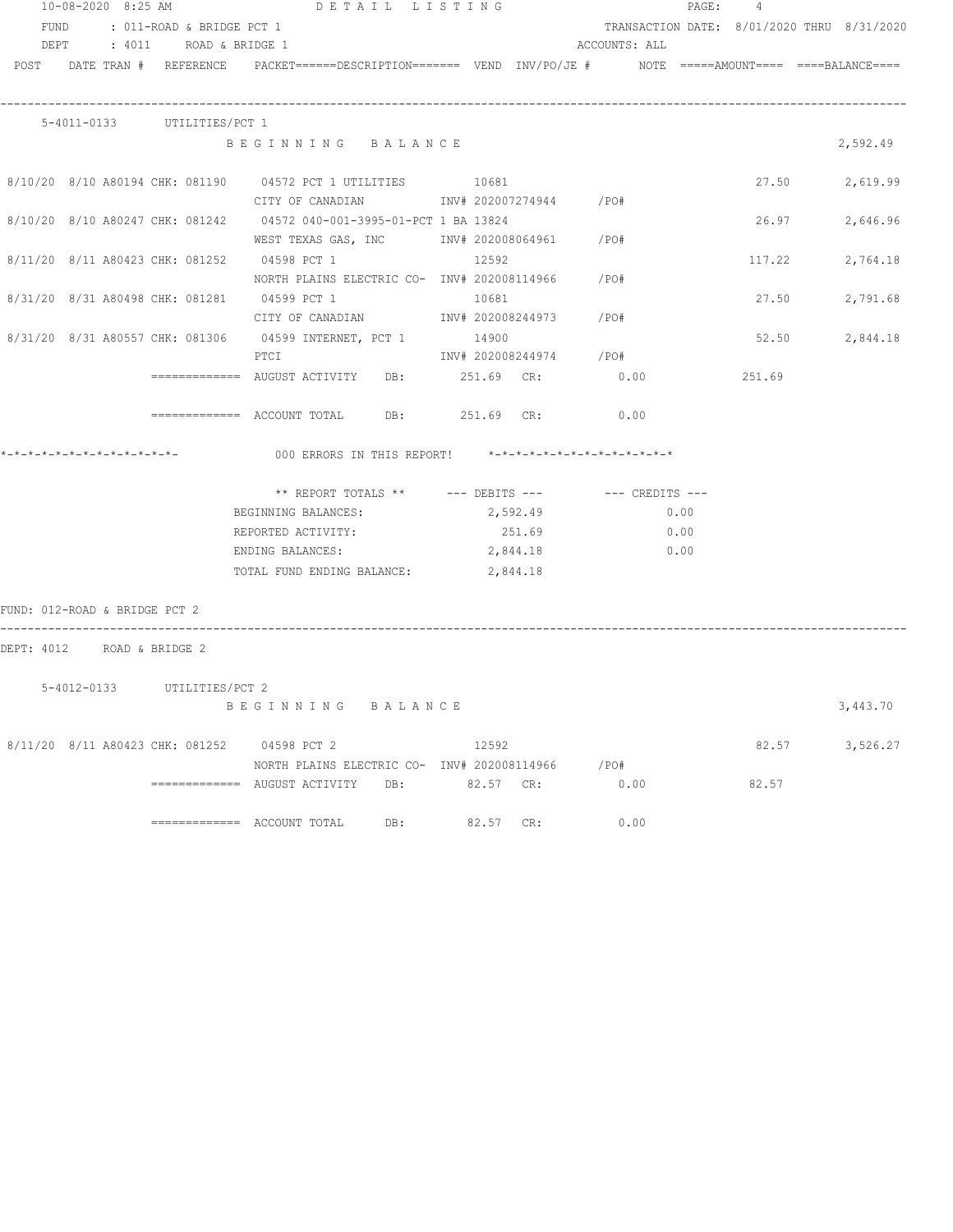|                               | 10-08-2020 8:25 AM |                                 | DETAIL LISTING                                                                                                      |         |           |                        |      |              | PAGE: 4 |        |                                            |
|-------------------------------|--------------------|---------------------------------|---------------------------------------------------------------------------------------------------------------------|---------|-----------|------------------------|------|--------------|---------|--------|--------------------------------------------|
|                               |                    | FUND : 011-ROAD & BRIDGE PCT 1  |                                                                                                                     |         |           |                        |      |              |         |        | TRANSACTION DATE: 8/01/2020 THRU 8/31/2020 |
|                               |                    | DEPT : 4011 ROAD & BRIDGE 1     |                                                                                                                     |         |           | ACCOUNTS: ALL          |      |              |         |        |                                            |
|                               |                    |                                 | POST DATE TRAN # REFERENCE PACKET======DESCRIPTION======= VEND INV/PO/JE # NOTE =====AMOUNT==== ====BALANCE====     |         |           |                        |      |              |         |        |                                            |
|                               |                    | 5-4011-0133 UTILITIES/PCT 1     |                                                                                                                     |         |           |                        |      |              |         |        |                                            |
|                               |                    |                                 | BEGINNING BALANCE                                                                                                   |         |           |                        |      |              |         |        | 2,592.49                                   |
|                               |                    |                                 | 8/10/20 8/10 A80194 CHK: 081190 04572 PCT 1 UTILITIES 10681<br>CITY OF CANADIAN 1NV# 202007274944 / PO#             |         |           |                        |      |              |         |        | 27.50 2,619.99                             |
|                               |                    |                                 | 8/10/20 8/10 A80247 CHK: 081242 04572 040-001-3995-01-PCT 1 BA 13824<br>WEST TEXAS GAS, INC MOTH 202008064961 / PO# |         |           |                        |      |              |         | 26.97  | 2,646.96                                   |
|                               |                    |                                 | 8/11/20 8/11 A80423 CHK: 081252 04598 PCT 1 12592<br>NORTH PLAINS ELECTRIC CO- INV# 202008114966 / PO#              |         |           |                        |      |              |         | 117.22 | 2,764.18                                   |
|                               |                    |                                 | 8/31/20 8/31 A80498 CHK: 081281 04599 PCT 1 10681<br>CITY OF CANADIAN 1NV# 202008244973 / PO#                       |         |           |                        |      |              |         | 27.50  | 2,791.68                                   |
|                               |                    |                                 | 8/31/20 8/31 A80557 CHK: 081306 04599 INTERNET, PCT 1<br>PTCI                                                       |         | 14900     | INV# 202008244974 /PO# |      |              |         | 52.50  | 2,844.18                                   |
|                               |                    |                                 |                                                                                                                     |         |           |                        |      |              |         | 251.69 |                                            |
|                               |                    |                                 | ============ ACCOUNT TOTAL DB: 251.69 CR: 0.00                                                                      |         |           |                        |      |              |         |        |                                            |
|                               |                    |                                 | *-*-*-*-*-*-*-*-*-*-*-*-*-           000 ERRORS IN THIS REPORT!    *-*-*-*-*-*-*-*-*-*-*-*-*-*                      |         |           |                        |      |              |         |        |                                            |
|                               |                    |                                 | ** REPORT TOTALS ** --- DEBITS --- -- CREDITS ---                                                                   |         |           |                        |      |              |         |        |                                            |
|                               |                    |                                 | BEGINNING BALANCES: 2,592.49                                                                                        |         |           |                        |      | 0.00         |         |        |                                            |
|                               |                    |                                 | REPORTED ACTIVITY:<br>ENDING BALANCES:                                                                              |         |           | 251.69<br>2,844.18     |      | 0.00<br>0.00 |         |        |                                            |
|                               |                    |                                 | TOTAL FUND ENDING BALANCE:                                                                                          |         | 2,844.18  |                        |      |              |         |        |                                            |
| FUND: 012-ROAD & BRIDGE PCT 2 |                    |                                 |                                                                                                                     |         |           |                        |      |              |         |        |                                            |
|                               |                    | DEPT: 4012 ROAD & BRIDGE 2      |                                                                                                                     |         |           |                        |      |              |         |        |                                            |
|                               |                    |                                 |                                                                                                                     |         |           |                        |      |              |         |        |                                            |
|                               |                    | 5-4012-0133 UTILITIES/PCT 2     | BEGINNING                                                                                                           | BALANCE |           |                        |      |              |         |        | 3,443.70                                   |
|                               |                    | 8/11/20 8/11 A80423 CHK: 081252 | 04598 PCT 2                                                                                                         |         | 12592     |                        |      |              |         | 82.57  | 3,526.27                                   |
|                               |                    |                                 | NORTH PLAINS ELECTRIC CO- INV# 202008114966<br>============ AUGUST ACTIVITY<br>DB:                                  |         | 82.57 CR: |                        | /PO# | 0.00         |         | 82.57  |                                            |
|                               |                    |                                 | ============= ACCOUNT TOTAL<br>DB:                                                                                  |         | 82.57 CR: |                        |      | 0.00         |         |        |                                            |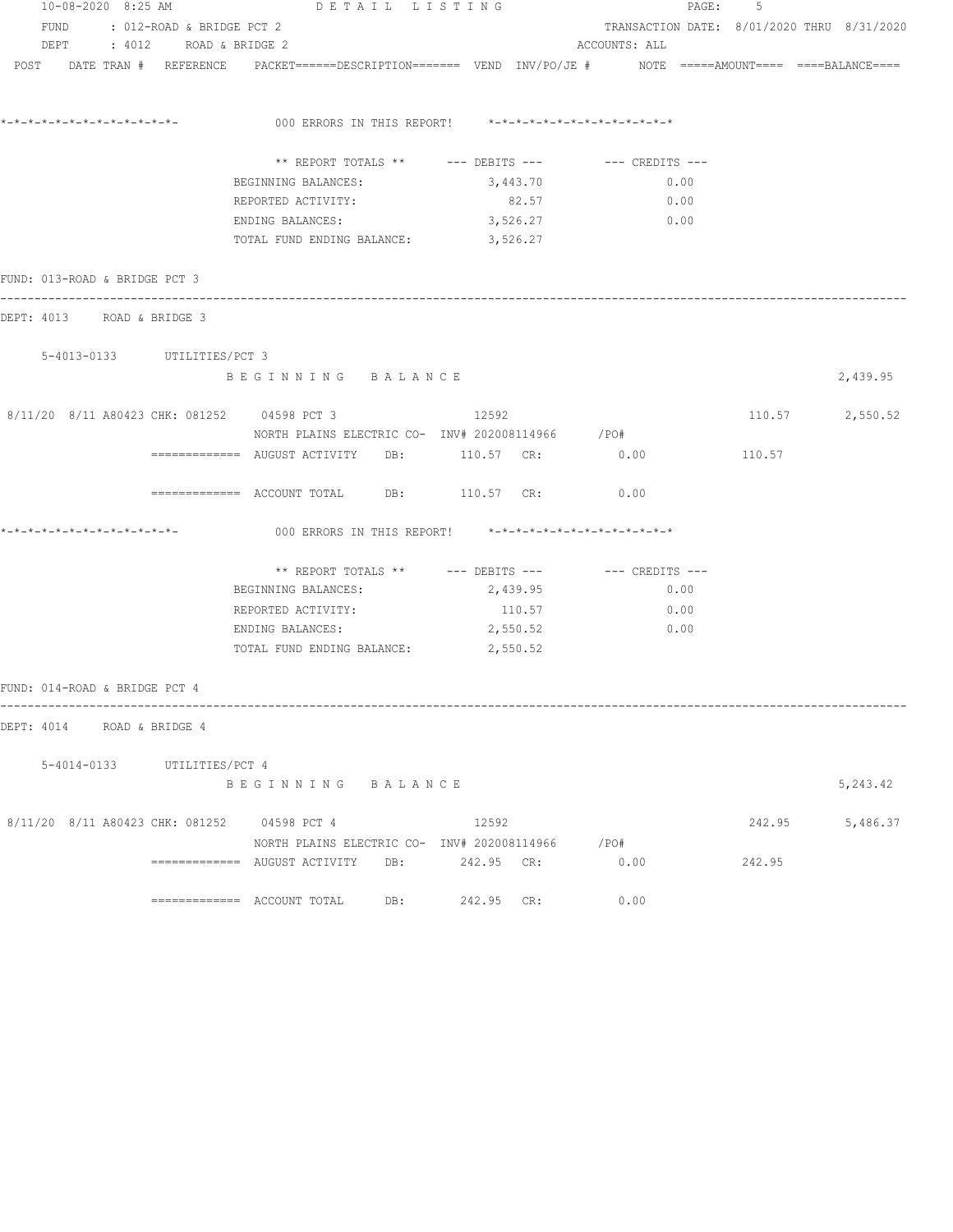| 10-08-2020 8:25 AM                          | DETAIL LISTING                                                                                                  |            | PAGE:<br>5 |                                                      |        |                 |  |
|---------------------------------------------|-----------------------------------------------------------------------------------------------------------------|------------|------------|------------------------------------------------------|--------|-----------------|--|
| FUND : 012-ROAD & BRIDGE PCT 2              |                                                                                                                 |            |            | TRANSACTION DATE: 8/01/2020 THRU 8/31/2020           |        |                 |  |
| DEPT : 4012 ROAD & BRIDGE 2                 |                                                                                                                 |            |            | ACCOUNTS: ALL                                        |        |                 |  |
|                                             | POST DATE TRAN # REFERENCE PACKET======DESCRIPTION======= VEND INV/PO/JE # NOTE =====AMOUNT==== ====BALANCE==== |            |            |                                                      |        |                 |  |
|                                             | 000 ERRORS IN THIS REPORT! *-*-*-*-*-*-*-*-*-*-*-*-*-*-                                                         |            |            |                                                      |        |                 |  |
|                                             |                                                                                                                 |            |            |                                                      |        |                 |  |
|                                             |                                                                                                                 |            |            | ** REPORT TOTALS ** --- DEBITS --- -- -- CREDITS --- |        |                 |  |
|                                             | BEGINNING BALANCES:                                                                                             |            | 3,443.70   | 0.00                                                 |        |                 |  |
|                                             | REPORTED ACTIVITY:                                                                                              |            | 82.57      | 0.00                                                 |        |                 |  |
|                                             | ENDING BALANCES:                                                                                                |            | 3,526.27   | $\sim$ 0.00                                          |        |                 |  |
|                                             | TOTAL FUND ENDING BALANCE: 3,526.27                                                                             |            |            |                                                      |        |                 |  |
| FUND: 013-ROAD & BRIDGE PCT 3               |                                                                                                                 |            |            |                                                      |        |                 |  |
| DEPT: 4013 ROAD & BRIDGE 3                  |                                                                                                                 |            |            |                                                      |        |                 |  |
| 5-4013-0133 UTILITIES/PCT 3                 |                                                                                                                 |            |            |                                                      |        |                 |  |
|                                             | BEGINNING BALANCE                                                                                               |            |            |                                                      |        | 2,439.95        |  |
| 8/11/20 8/11 A80423 CHK: 081252 04598 PCT 3 |                                                                                                                 | 12592      |            |                                                      |        | 110.57 2,550.52 |  |
|                                             | NORTH PLAINS ELECTRIC CO- INV# 202008114966 /PO#                                                                |            |            |                                                      |        |                 |  |
|                                             | ============ AUGUST ACTIVITY DB: 110.57 CR: 0.00                                                                |            |            |                                                      | 110.57 |                 |  |
|                                             | $\texttt{-----}$ =========== ACCOUNT TOTAL DB: $\texttt{110.57}$ CR:                                            |            |            | 0.00                                                 |        |                 |  |
|                                             | 000 ERRORS IN THIS REPORT! $*-*-*-*-*-*-*-*-*-*-*-*-*-*-**$                                                     |            |            |                                                      |        |                 |  |
|                                             |                                                                                                                 |            |            |                                                      |        |                 |  |
|                                             | BEGINNING BALANCES:                                                                                             |            | 2,439.95   | 0.00                                                 |        |                 |  |
|                                             | REPORTED ACTIVITY:                                                                                              |            | 110.57     | 0.00                                                 |        |                 |  |
|                                             | ENDING BALANCES:                                                                                                |            | 2,550.52   | 0.00                                                 |        |                 |  |
|                                             | TOTAL FUND ENDING BALANCE: 2,550.52                                                                             |            |            |                                                      |        |                 |  |
| FUND: 014-ROAD & BRIDGE PCT 4               |                                                                                                                 |            |            |                                                      |        |                 |  |
| DEPT: 4014 ROAD & BRIDGE 4                  |                                                                                                                 |            |            |                                                      |        |                 |  |
|                                             |                                                                                                                 |            |            |                                                      |        |                 |  |
| 5-4014-0133 UTILITIES/PCT 4                 | BEGINNING BALANCE                                                                                               |            |            |                                                      |        | 5,243.42        |  |
| 8/11/20 8/11 A80423 CHK: 081252 04598 PCT 4 |                                                                                                                 | 12592      |            |                                                      | 242.95 | 5,486.37        |  |
|                                             | NORTH PLAINS ELECTRIC CO- INV# 202008114966 /PO#                                                                |            |            |                                                      |        |                 |  |
|                                             | ============= AUGUST ACTIVITY DB:                                                                               | 242.95 CR: |            | 0.00                                                 | 242.95 |                 |  |
|                                             |                                                                                                                 | DB:        | 242.95 CR: | 0.00                                                 |        |                 |  |